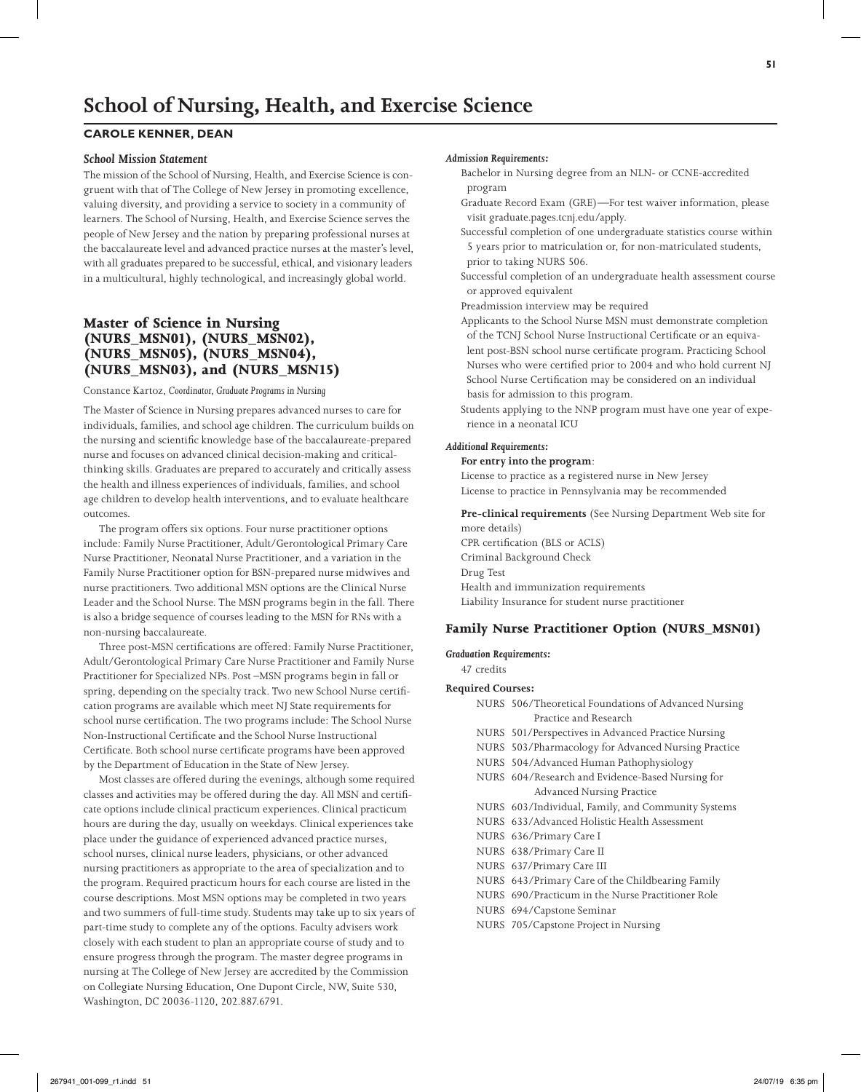# **School of Nursing, Health, and Exercise Science**

## **Carole kenner, Dean**

#### *School Mission Statement*

The mission of the School of Nursing, Health, and Exercise Science is congruent with that of The College of New Jersey in promoting excellence, valuing diversity, and providing a service to society in a community of learners. The School of Nursing, Health, and Exercise Science serves the people of New Jersey and the nation by preparing professional nurses at the baccalaureate level and advanced practice nurses at the master's level, with all graduates prepared to be successful, ethical, and visionary leaders in a multicultural, highly technological, and increasingly global world.

## **Master of Science in Nursing (NURS\_MSN01), (NURS\_MSN02), (NURS\_MSN05), (NURS\_MSN04), (NURS\_MSN03), and (NURS\_MSN15)**

Constance Kartoz, *Coordinator, Graduate Programs in Nursing*

The Master of Science in Nursing prepares advanced nurses to care for individuals, families, and school age children. The curriculum builds on the nursing and scientific knowledge base of the baccalaureate-prepared nurse and focuses on advanced clinical decision-making and criticalthinking skills. Graduates are prepared to accurately and critically assess the health and illness experiences of individuals, families, and school age children to develop health interventions, and to evaluate healthcare outcomes.

The program offers six options. Four nurse practitioner options include: Family Nurse Practitioner, Adult/Gerontological Primary Care Nurse Practitioner, Neonatal Nurse Practitioner, and a variation in the Family Nurse Practitioner option for BSN-prepared nurse midwives and nurse practitioners. Two additional MSN options are the Clinical Nurse Leader and the School Nurse. The MSN programs begin in the fall. There is also a bridge sequence of courses leading to the MSN for RNs with a non-nursing baccalaureate.

Three post-MSN certifications are offered: Family Nurse Practitioner, Adult/Gerontological Primary Care Nurse Practitioner and Family Nurse Practitioner for Specialized NPs. Post –MSN programs begin in fall or spring, depending on the specialty track. Two new School Nurse certification programs are available which meet NJ State requirements for school nurse certification. The two programs include: The School Nurse Non-Instructional Certificate and the School Nurse Instructional Certificate. Both school nurse certificate programs have been approved by the Department of Education in the State of New Jersey.

Most classes are offered during the evenings, although some required classes and activities may be offered during the day. All MSN and certificate options include clinical practicum experiences. Clinical practicum hours are during the day, usually on weekdays. Clinical experiences take place under the guidance of experienced advanced practice nurses, school nurses, clinical nurse leaders, physicians, or other advanced nursing practitioners as appropriate to the area of specialization and to the program. Required practicum hours for each course are listed in the course descriptions. Most MSN options may be completed in two years and two summers of full-time study. Students may take up to six years of part-time study to complete any of the options. Faculty advisers work closely with each student to plan an appropriate course of study and to ensure progress through the program. The master degree programs in nursing at The College of New Jersey are accredited by the Commission on Collegiate Nursing Education, One Dupont Circle, NW, Suite 530, Washington, DC 20036-1120, 202.887.6791.

#### *Admission Requirements:*

- Bachelor in Nursing degree from an NLN- or CCNE-accredited program
- Graduate Record Exam (GRE)—For test waiver information, please visit graduate.pages.tcnj.edu/apply.
- Successful completion of one undergraduate statistics course within 5 years prior to matriculation or, for non-matriculated students, prior to taking NURS 506.
- Successful completion of an undergraduate health assessment course or approved equivalent

Preadmission interview may be required

- Applicants to the School Nurse MSN must demonstrate completion of the TCNJ School Nurse Instructional Certificate or an equivalent post-BSN school nurse certificate program. Practicing School Nurses who were certified prior to 2004 and who hold current NJ School Nurse Certification may be considered on an individual basis for admission to this program.
- Students applying to the NNP program must have one year of experience in a neonatal ICU

#### *Additional Requirements:*

#### **For entry into the program**:

License to practice as a registered nurse in New Jersey License to practice in Pennsylvania may be recommended

**Pre-clinical requirements** (See Nursing Department Web site for more details) CPR certification (BLS or ACLS) Criminal Background Check Drug Test Health and immunization requirements

Liability Insurance for student nurse practitioner

#### **Family Nurse Practitioner Option (NURS\_MSN01)**

#### *Graduation Requirements:*

47 credits

#### **Required Courses:**

| NURS 506/Theoretical Foundations of Advanced Nursing |
|------------------------------------------------------|
| Practice and Research                                |
| NURS 501/Perspectives in Advanced Practice Nursing   |
| NURS 503/Pharmacology for Advanced Nursing Practice  |
| NURS 504/Advanced Human Pathophysiology              |
| NURS 604/Research and Evidence-Based Nursing for     |
| Advanced Nursing Practice                            |
| NURS 603/Individual, Family, and Community Systems   |
| NURS 633/Advanced Holistic Health Assessment         |
| NURS 636/Primary Care I                              |
| NURS 638/Primary Care II                             |
| NURS 637/Primary Care III                            |
| NURS 643/Primary Care of the Childbearing Family     |
| NURS 690/Practicum in the Nurse Practitioner Role    |
| NURS 694/Capstone Seminar                            |
| NURS 705/Capstone Project in Nursing                 |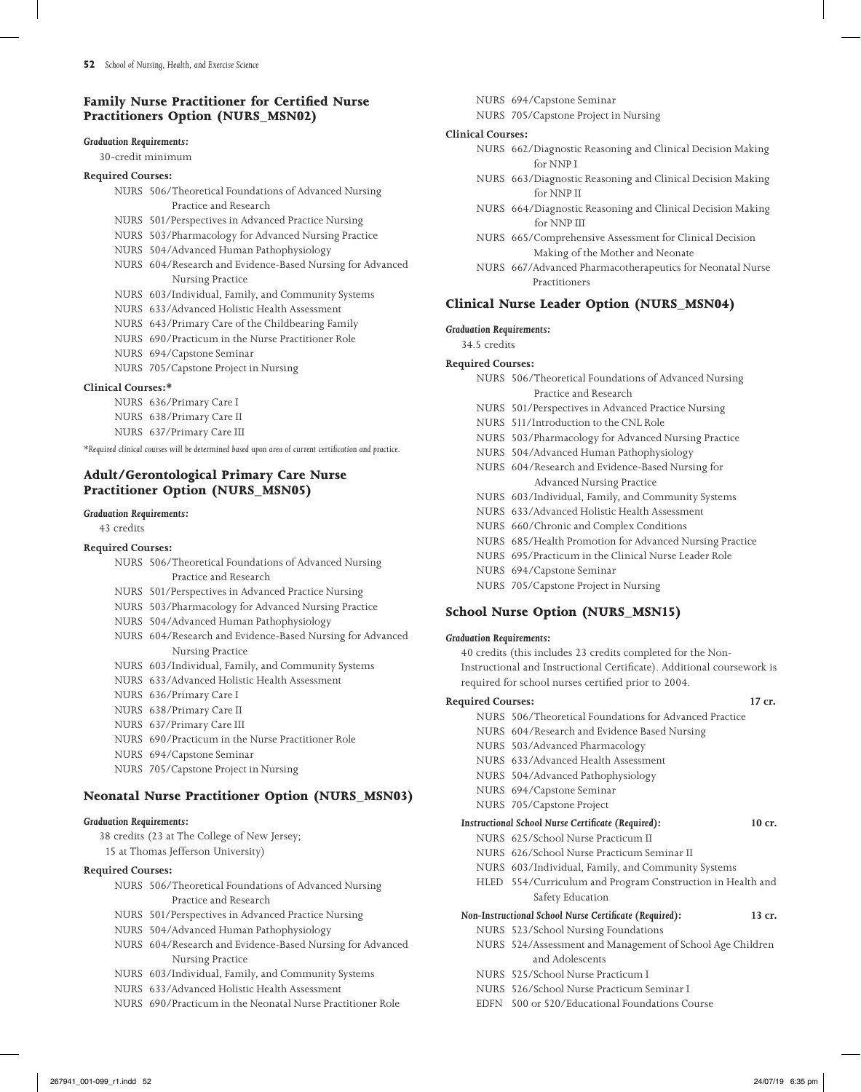## **Family Nurse Practitioner for Certified Nurse Practitioners Option (NURS\_MSN02)**

#### *Graduation Requirements:*

30-credit minimum

- **Required Courses:**
	- NURS 506/Theoretical Foundations of Advanced Nursing Practice and Research
	- NURS 501/Perspectives in Advanced Practice Nursing
	- NURS 503/Pharmacology for Advanced Nursing Practice
	- NURS 504/Advanced Human Pathophysiology
	- NURS 604/Research and Evidence-Based Nursing for Advanced Nursing Practice
	- NURS 603/Individual, Family, and Community Systems
	- NURS 633/Advanced Holistic Health Assessment
	- NURS 643/Primary Care of the Childbearing Family
	- NURS 690/Practicum in the Nurse Practitioner Role
	- NURS 694/Capstone Seminar
	- NURS 705/Capstone Project in Nursing

#### **Clinical Courses:\***

- NURS 636/Primary Care I NURS 638/Primary Care II
- NURS 637/Primary Care III

*\*Required clinical courses will be determined based upon area of current certification and practice.*

## **Adult/Gerontological Primary Care Nurse Practitioner Option (NURS\_MSN05)**

#### *Graduation Requirements:*

43 credits

#### **Required Courses:**

- NURS 506/Theoretical Foundations of Advanced Nursing Practice and Research
- NURS 501/Perspectives in Advanced Practice Nursing
- NURS 503/Pharmacology for Advanced Nursing Practice
- NURS 504/Advanced Human Pathophysiology
- NURS 604/Research and Evidence-Based Nursing for Advanced Nursing Practice
- NURS 603/Individual, Family, and Community Systems
- NURS 633/Advanced Holistic Health Assessment
- NURS 636/Primary Care I
- NURS 638/Primary Care II
- NURS 637/Primary Care III
- NURS 690/Practicum in the Nurse Practitioner Role
- NURS 694/Capstone Seminar
- NURS 705/Capstone Project in Nursing

## **Neonatal Nurse Practitioner Option (NURS\_MSN03)**

#### *Graduation Requirements:*

38 credits (23 at The College of New Jersey; 15 at Thomas Jefferson University)

## **Required Courses:**

| NURS 506/Theoretical Foundations of Advanced Nursing |
|------------------------------------------------------|
| Practice and Research                                |

- NURS 501/Perspectives in Advanced Practice Nursing
- NURS 504/Advanced Human Pathophysiology
- NURS 604/Research and Evidence-Based Nursing for Advanced Nursing Practice
- NURS 603/Individual, Family, and Community Systems
- NURS 633/Advanced Holistic Health Assessment
- NURS 690/Practicum in the Neonatal Nurse Practitioner Role
- NURS 694/Capstone Seminar
- NURS 705/Capstone Project in Nursing

#### **Clinical Courses:**

- NURS 662/Diagnostic Reasoning and Clinical Decision Making for NNP I
- NURS 663/Diagnostic Reasoning and Clinical Decision Making for NNP II
- NURS 664/Diagnostic Reasoning and Clinical Decision Making for NNP III
- NURS 665/Comprehensive Assessment for Clinical Decision Making of the Mother and Neonate
- NURS 667/Advanced Pharmacotherapeutics for Neonatal Nurse Practitioners

## **Clinical Nurse Leader Option (NURS\_MSN04)**

#### *Graduation Requirements:*

34.5 credits

#### **Required Courses:**

- NURS 506/Theoretical Foundations of Advanced Nursing Practice and Research
- NURS 501/Perspectives in Advanced Practice Nursing
- NURS 511/Introduction to the CNL Role
- NURS 503/Pharmacology for Advanced Nursing Practice
- NURS 504/Advanced Human Pathophysiology
- NURS 604/Research and Evidence-Based Nursing for Advanced Nursing Practice
- NURS 603/Individual, Family, and Community Systems
- NURS 633/Advanced Holistic Health Assessment
- NURS 660/Chronic and Complex Conditions
- NURS 685/Health Promotion for Advanced Nursing Practice
- NURS 695/Practicum in the Clinical Nurse Leader Role
- NURS 694/Capstone Seminar
- NURS 705/Capstone Project in Nursing

## **School Nurse Option (NURS\_MSN15)**

#### *Graduation Requirements:*

40 credits (this includes 23 credits completed for the Non-Instructional and Instructional Certificate). Additional coursework is required for school nurses certified prior to 2004.

#### **Required Courses: 17 cr.**

- NURS 506/Theoretical Foundations for Advanced Practice NURS 604/Research and Evidence Based Nursing NURS 503/Advanced Pharmacology NURS 633/Advanced Health Assessment NURS 504/Advanced Pathophysiology NURS 694/Capstone Seminar NURS 705/Capstone Project *Instructional School Nurse Certificate (Required):* **10 cr.** NURS 625/School Nurse Practicum II NURS 626/School Nurse Practicum Seminar II NURS 603/Individual, Family, and Community Systems HLED 554/Curriculum and Program Construction in Health and
	- Safety Education

## *Non-Instructional School Nurse Certificate (Required):* **13 cr.**

- NURS 523/School Nursing Foundations
	- NURS 524/Assessment and Management of School Age Children and Adolescents
	- NURS 525/School Nurse Practicum I
	- NURS 526/School Nurse Practicum Seminar I
	- EDFN 500 or 520/Educational Foundations Course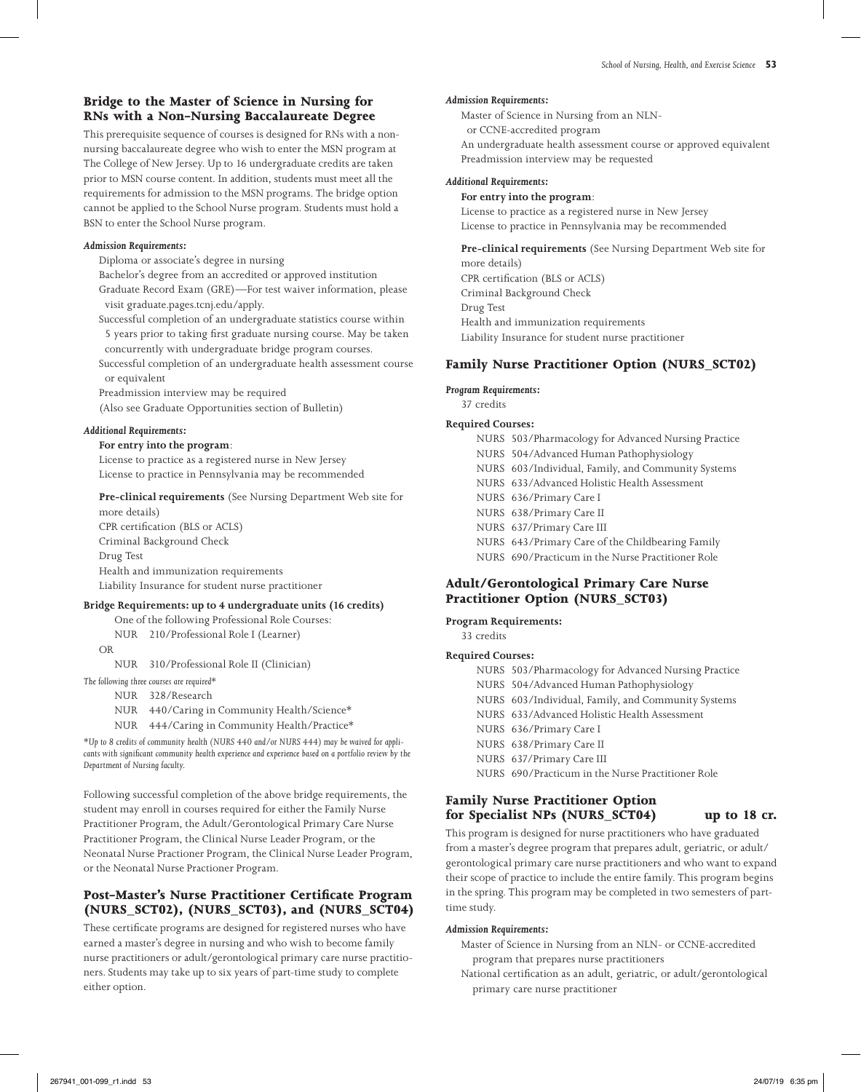## **Bridge to the Master of Science in Nursing for RNs with a Non-Nursing Baccalaureate Degree**

This prerequisite sequence of courses is designed for RNs with a nonnursing baccalaureate degree who wish to enter the MSN program at The College of New Jersey. Up to 16 undergraduate credits are taken prior to MSN course content. In addition, students must meet all the requirements for admission to the MSN programs. The bridge option cannot be applied to the School Nurse program. Students must hold a BSN to enter the School Nurse program.

#### *Admission Requirements:*

Diploma or associate's degree in nursing

- Bachelor's degree from an accredited or approved institution
- Graduate Record Exam (GRE)—For test waiver information, please visit graduate.pages.tcnj.edu/apply.
- Successful completion of an undergraduate statistics course within 5 years prior to taking first graduate nursing course. May be taken concurrently with undergraduate bridge program courses.
- Successful completion of an undergraduate health assessment course or equivalent
- Preadmission interview may be required
- (Also see Graduate Opportunities section of Bulletin)

#### *Additional Requirements:*

**For entry into the program**: License to practice as a registered nurse in New Jersey License to practice in Pennsylvania may be recommended

#### **Pre-clinical requirements** (See Nursing Department Web site for more details)

CPR certification (BLS or ACLS) Criminal Background Check Drug Test Health and immunization requirements Liability Insurance for student nurse practitioner

## **Bridge Requirements: up to 4 undergraduate units (16 credits)**

 One of the following Professional Role Courses: NUR 210/Professional Role I (Learner)

OR

NUR 310/Professional Role II (Clinician)

*The following three courses are required\**

NUR 328/Research

- NUR 440/Caring in Community Health/Science\*
- NUR 444/Caring in Community Health/Practice\*

*\*Up to 8 credits of community health (NURS 440 and/or NURS 444) may be waived for applicants with significant community health experience and experience based on a portfolio review by the Department of Nursing faculty.*

Following successful completion of the above bridge requirements, the student may enroll in courses required for either the Family Nurse Practitioner Program, the Adult/Gerontological Primary Care Nurse Practitioner Program, the Clinical Nurse Leader Program, or the Neonatal Nurse Practioner Program, the Clinical Nurse Leader Program, or the Neonatal Nurse Practioner Program.

## **Post-Master's Nurse Practitioner Certificate Program (NURS\_SCT02), (NURS\_SCT03), and (NURS\_SCT04)**

These certificate programs are designed for registered nurses who have earned a master's degree in nursing and who wish to become family nurse practitioners or adult/gerontological primary care nurse practitioners. Students may take up to six years of part-time study to complete either option.

#### *Admission Requirements:*

Master of Science in Nursing from an NLNor CCNE-accredited program An undergraduate health assessment course or approved equivalent Preadmission interview may be requested

### *Additional Requirements:*

#### **For entry into the program**:

License to practice as a registered nurse in New Jersey License to practice in Pennsylvania may be recommended

**Pre-clinical requirements** (See Nursing Department Web site for more details) CPR certification (BLS or ACLS) Criminal Background Check Drug Test

Health and immunization requirements

Liability Insurance for student nurse practitioner

## **Family Nurse Practitioner Option (NURS\_SCT02)**

#### *Program Requirements:*

37 credits

### **Required Courses:**

 NURS 503/Pharmacology for Advanced Nursing Practice NURS 504/Advanced Human Pathophysiology NURS 603/Individual, Family, and Community Systems NURS 633/Advanced Holistic Health Assessment NURS 636/Primary Care I NURS 638/Primary Care II NURS 637/Primary Care III NURS 643/Primary Care of the Childbearing Family NURS 690/Practicum in the Nurse Practitioner Role

## **Adult/Gerontological Primary Care Nurse Practitioner Option (NURS\_SCT03)**

#### **Program Requirements:**

33 credits

## **Required Courses:**

 NURS 503/Pharmacology for Advanced Nursing Practice NURS 504/Advanced Human Pathophysiology NURS 603/Individual, Family, and Community Systems NURS 633/Advanced Holistic Health Assessment NURS 636/Primary Care I NURS 638/Primary Care II NURS 637/Primary Care III NURS 690/Practicum in the Nurse Practitioner Role

## **Family Nurse Practitioner Option for Specialist NPs (NURS\_SCT04) up to 18 cr.**

This program is designed for nurse practitioners who have graduated from a master's degree program that prepares adult, geriatric, or adult/ gerontological primary care nurse practitioners and who want to expand their scope of practice to include the entire family. This program begins in the spring. This program may be completed in two semesters of parttime study.

#### *Admission Requirements:*

Master of Science in Nursing from an NLN- or CCNE-accredited program that prepares nurse practitioners

National certification as an adult, geriatric, or adult/gerontological primary care nurse practitioner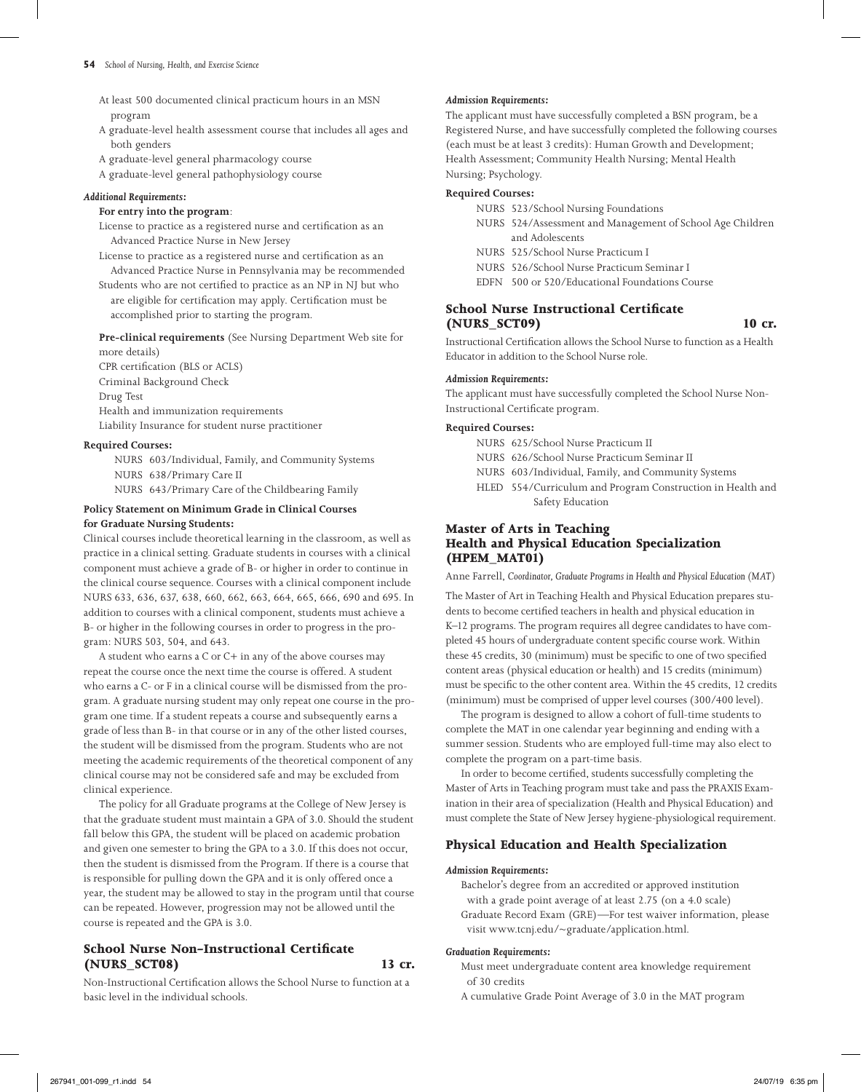#### **54** *School of Nursing, Health, and Exercise Science*

- At least 500 documented clinical practicum hours in an MSN program
- A graduate-level health assessment course that includes all ages and both genders
- A graduate-level general pharmacology course
- A graduate-level general pathophysiology course

#### *Additional Requirements:*

#### **For entry into the program**:

- License to practice as a registered nurse and certification as an Advanced Practice Nurse in New Jersey
- License to practice as a registered nurse and certification as an Advanced Practice Nurse in Pennsylvania may be recommended
- Students who are not certified to practice as an NP in NJ but who are eligible for certification may apply. Certification must be accomplished prior to starting the program.

**Pre-clinical requirements** (See Nursing Department Web site for more details)

CPR certification (BLS or ACLS) Criminal Background Check Drug Test Health and immunization requirements Liability Insurance for student nurse practitioner

#### **Required Courses:**

 NURS 603/Individual, Family, and Community Systems NURS 638/Primary Care II NURS 643/Primary Care of the Childbearing Family

## **Policy Statement on Minimum Grade in Clinical Courses for Graduate Nursing Students:**

Clinical courses include theoretical learning in the classroom, as well as practice in a clinical setting. Graduate students in courses with a clinical component must achieve a grade of B- or higher in order to continue in the clinical course sequence. Courses with a clinical component include NURS 633, 636, 637, 638, 660, 662, 663, 664, 665, 666, 690 and 695. In addition to courses with a clinical component, students must achieve a B- or higher in the following courses in order to progress in the program: NURS 503, 504, and 643.

A student who earns a C or C+ in any of the above courses may repeat the course once the next time the course is offered. A student who earns a C- or F in a clinical course will be dismissed from the program. A graduate nursing student may only repeat one course in the program one time. If a student repeats a course and subsequently earns a grade of less than B- in that course or in any of the other listed courses, the student will be dismissed from the program. Students who are not meeting the academic requirements of the theoretical component of any clinical course may not be considered safe and may be excluded from clinical experience.

The policy for all Graduate programs at the College of New Jersey is that the graduate student must maintain a GPA of 3.0. Should the student fall below this GPA, the student will be placed on academic probation and given one semester to bring the GPA to a 3.0. If this does not occur, then the student is dismissed from the Program. If there is a course that is responsible for pulling down the GPA and it is only offered once a year, the student may be allowed to stay in the program until that course can be repeated. However, progression may not be allowed until the course is repeated and the GPA is 3.0.

## **School Nurse Non-Instructional Certificate (NURS\_SCT08) 13 cr.**

Non-Instructional Certification allows the School Nurse to function at a basic level in the individual schools.

#### *Admission Requirements:*

The applicant must have successfully completed a BSN program, be a Registered Nurse, and have successfully completed the following courses (each must be at least 3 credits): Human Growth and Development; Health Assessment; Community Health Nursing; Mental Health Nursing; Psychology.

### **Required Courses:**

|  | NURS 523/School Nursing Foundations                       |
|--|-----------------------------------------------------------|
|  | NURS 524/Assessment and Management of School Age Children |
|  | and Adolescents                                           |
|  | NURS 525/School Nurse Practicum I                         |
|  | NURS 526/School Nurse Practicum Seminar I                 |
|  | EDFN 500 or 520/Educational Foundations Course            |
|  |                                                           |

## **School Nurse Instructional Certificate (NURS\_SCT09) 10 cr.**

Instructional Certification allows the School Nurse to function as a Health Educator in addition to the School Nurse role.

#### *Admission Requirements:*

The applicant must have successfully completed the School Nurse Non-Instructional Certificate program.

#### **Required Courses:**

- NURS 625/School Nurse Practicum II
- NURS 626/School Nurse Practicum Seminar II
- NURS 603/Individual, Family, and Community Systems
- HLED 554/Curriculum and Program Construction in Health and Safety Education

## **Master of Arts in Teaching Health and Physical Education Specialization (HPEM\_MAT01)**

Anne Farrell, *Coordinator, Graduate Programs in Health and Physical Education (MAT)*

The Master of Art in Teaching Health and Physical Education prepares students to become certified teachers in health and physical education in K–12 programs. The program requires all degree candidates to have completed 45 hours of undergraduate content specific course work. Within these 45 credits, 30 (minimum) must be specific to one of two specified content areas (physical education or health) and 15 credits (minimum) must be specific to the other content area. Within the 45 credits, 12 credits (minimum) must be comprised of upper level courses (300/400 level).

The program is designed to allow a cohort of full-time students to complete the MAT in one calendar year beginning and ending with a summer session. Students who are employed full-time may also elect to complete the program on a part-time basis.

In order to become certified, students successfully completing the Master of Arts in Teaching program must take and pass the PRAXIS Examination in their area of specialization (Health and Physical Education) and must complete the State of New Jersey hygiene-physiological requirement.

## **Physical Education and Health Specialization**

## *Admission Requirements:*

Bachelor's degree from an accredited or approved institution with a grade point average of at least 2.75 (on a 4.0 scale) Graduate Record Exam (GRE)—For test waiver information, please visit www.tcnj.edu/~graduate/application.html.

#### *Graduation Requirements:*

Must meet undergraduate content area knowledge requirement of 30 credits

A cumulative Grade Point Average of 3.0 in the MAT program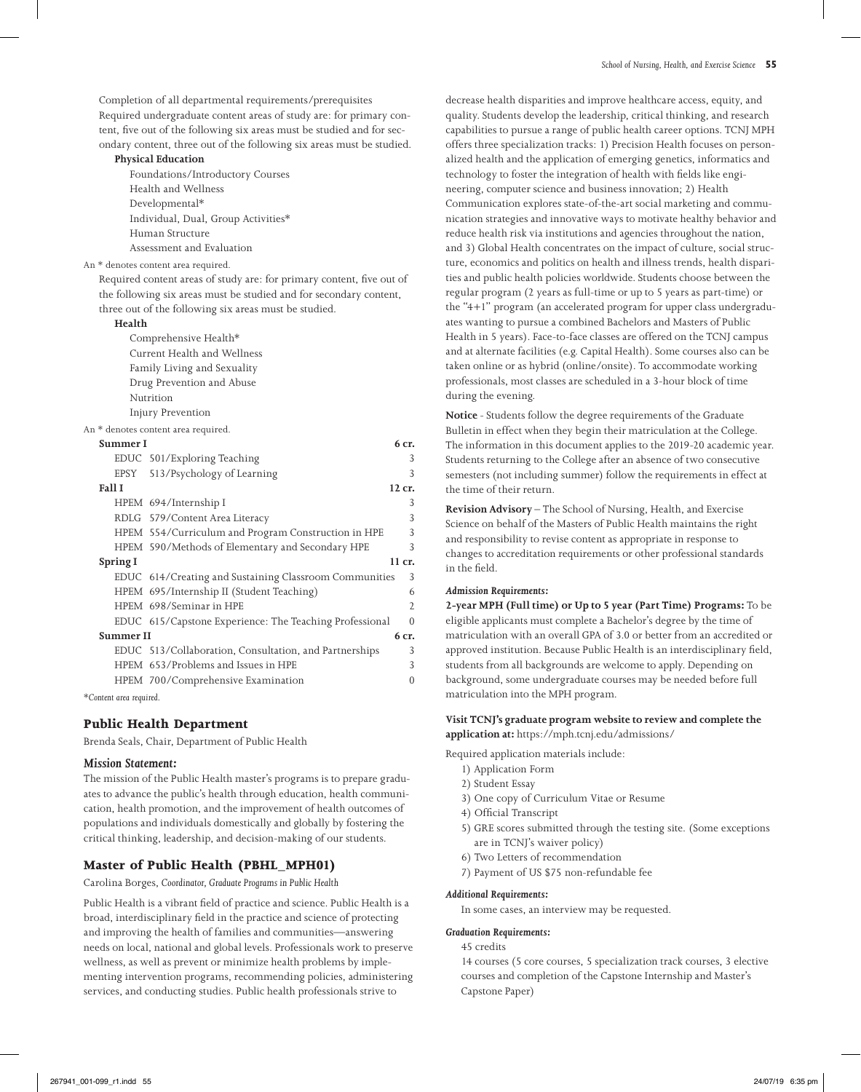Completion of all departmental requirements/prerequisites Required undergraduate content areas of study are: for primary content, five out of the following six areas must be studied and for secondary content, three out of the following six areas must be studied.

#### **Physical Education**

 Foundations/Introductory Courses Health and Wellness Developmental\* Individual, Dual, Group Activities\* Human Structure Assessment and Evaluation

An \* denotes content area required.

Required content areas of study are: for primary content, five out of the following six areas must be studied and for secondary content, three out of the following six areas must be studied.

#### **Health**

 Comprehensive Health\* Current Health and Wellness Family Living and Sexuality Drug Prevention and Abuse Nutrition Injury Prevention

#### An \* denotes content area required.

|                  | Summer I      |                                                         | 6 cr.          |
|------------------|---------------|---------------------------------------------------------|----------------|
|                  |               | EDUC 501/Exploring Teaching                             | 3              |
|                  |               | EPSY 513/Psychology of Learning                         | 3              |
|                  | <b>Fall I</b> |                                                         | 12 cr.         |
|                  |               | HPEM 694/Internship I                                   | 3              |
|                  |               | RDLG 579/Content Area Literacy                          | 3              |
|                  |               | HPEM 554/Curriculum and Program Construction in HPE     | 3              |
|                  |               | HPEM 590/Methods of Elementary and Secondary HPE        | 3              |
|                  | Spring I      |                                                         | 11 cr.         |
|                  |               | EDUC 614/Creating and Sustaining Classroom Communities  | 3              |
|                  |               | HPEM 695/Internship II (Student Teaching)               | 6              |
|                  |               | HPEM 698/Seminar in HPE                                 | $\overline{2}$ |
|                  |               | EDUC 615/Capstone Experience: The Teaching Professional | $\Omega$       |
| <b>Summer II</b> |               |                                                         | 6 cr.          |
|                  |               | EDUC 513/Collaboration, Consultation, and Partnerships  | 3              |
|                  |               | HPEM 653/Problems and Issues in HPE                     | 3              |
|                  |               | HPEM 700/Comprehensive Examination                      | $\Omega$       |
|                  |               |                                                         |                |

*\*Content area required.*

## **Public Health Department**

Brenda Seals, Chair, Department of Public Health

#### *Mission Statement:*

The mission of the Public Health master's programs is to prepare graduates to advance the public's health through education, health communication, health promotion, and the improvement of health outcomes of populations and individuals domestically and globally by fostering the critical thinking, leadership, and decision-making of our students.

## **Master of Public Health (PBHL\_MPH01)**

Carolina Borges, *Coordinator, Graduate Programs in Public Health*

Public Health is a vibrant field of practice and science. Public Health is a broad, interdisciplinary field in the practice and science of protecting and improving the health of families and communities—answering needs on local, national and global levels. Professionals work to preserve wellness, as well as prevent or minimize health problems by implementing intervention programs, recommending policies, administering services, and conducting studies. Public health professionals strive to

decrease health disparities and improve healthcare access, equity, and quality. Students develop the leadership, critical thinking, and research capabilities to pursue a range of public health career options. TCNJ MPH offers three specialization tracks: 1) Precision Health focuses on personalized health and the application of emerging genetics, informatics and technology to foster the integration of health with fields like engineering, computer science and business innovation; 2) Health Communication explores state-of-the-art social marketing and communication strategies and innovative ways to motivate healthy behavior and reduce health risk via institutions and agencies throughout the nation, and 3) Global Health concentrates on the impact of culture, social structure, economics and politics on health and illness trends, health disparities and public health policies worldwide. Students choose between the regular program (2 years as full-time or up to 5 years as part-time) or the "4+1" program (an accelerated program for upper class undergraduates wanting to pursue a combined Bachelors and Masters of Public Health in 5 years). Face-to-face classes are offered on the TCNJ campus and at alternate facilities (e.g. Capital Health). Some courses also can be taken online or as hybrid (online/onsite). To accommodate working professionals, most classes are scheduled in a 3-hour block of time during the evening.

**Notice** - Students follow the degree requirements of the Graduate Bulletin in effect when they begin their matriculation at the College. The information in this document applies to the 2019-20 academic year. Students returning to the College after an absence of two consecutive semesters (not including summer) follow the requirements in effect at the time of their return.

**Revision Advisory** – The School of Nursing, Health, and Exercise Science on behalf of the Masters of Public Health maintains the right and responsibility to revise content as appropriate in response to changes to accreditation requirements or other professional standards in the field.

## *Admission Requirements:*

**2-year MPH (Full time) or Up to 5 year (Part Time) Programs:** To be eligible applicants must complete a Bachelor's degree by the time of matriculation with an overall GPA of 3.0 or better from an accredited or approved institution. Because Public Health is an interdisciplinary field, students from all backgrounds are welcome to apply. Depending on background, some undergraduate courses may be needed before full matriculation into the MPH program.

## **Visit TCNJ's graduate program website to review and complete the application at:** https://mph.tcnj.edu/admissions/

Required application materials include:

- 1) Application Form
- 2) Student Essay
- 3) One copy of Curriculum Vitae or Resume
- 4) Official Transcript
- 5) GRE scores submitted through the testing site. (Some exceptions are in TCNJ's waiver policy)
- 6) Two Letters of recommendation
- 7) Payment of US \$75 non-refundable fee

#### *Additional Requirements:*

In some cases, an interview may be requested.

#### *Graduation Requirements:*

45 credits

14 courses (5 core courses, 5 specialization track courses, 3 elective courses and completion of the Capstone Internship and Master's Capstone Paper)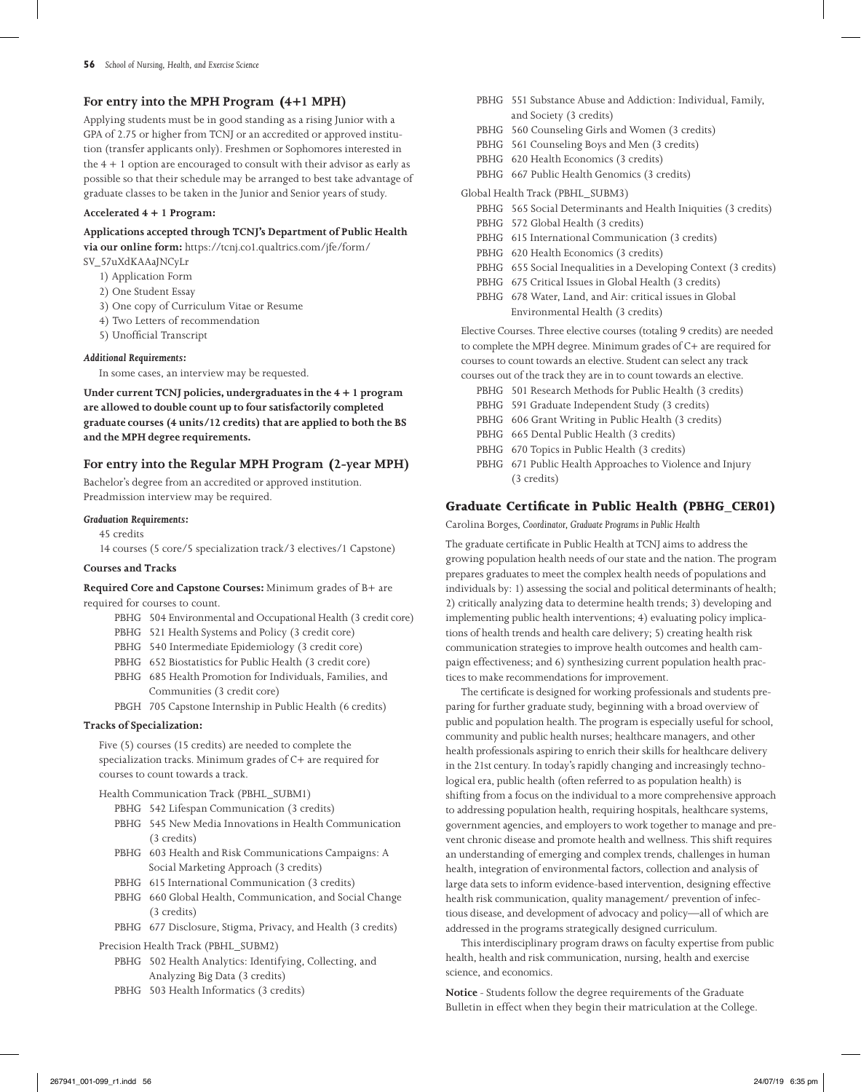## **For entry into the MPH Program (4+1 MPH)**

Applying students must be in good standing as a rising Junior with a GPA of 2.75 or higher from TCNJ or an accredited or approved institution (transfer applicants only). Freshmen or Sophomores interested in the  $4 + 1$  option are encouraged to consult with their advisor as early as possible so that their schedule may be arranged to best take advantage of graduate classes to be taken in the Junior and Senior years of study.

#### **Accelerated 4 + 1 Program:**

### **Applications accepted through TCNJ's Department of Public Health**

**via our online form:** https://tcnj.co1.qualtrics.com/jfe/form/

SV\_57uXdKAAaJNCyLr

- 1) Application Form
- 2) One Student Essay
- 3) One copy of Curriculum Vitae or Resume
- 4) Two Letters of recommendation
- 5) Unofficial Transcript

#### *Additional Requirements:*

In some cases, an interview may be requested.

**Under current TCNJ policies, undergraduates in the 4 + 1 program are allowed to double count up to four satisfactorily completed graduate courses (4 units/12 credits) that are applied to both the BS and the MPH degree requirements.**

## **For entry into the Regular MPH Program (2-year MPH)**

Bachelor's degree from an accredited or approved institution. Preadmission interview may be required.

#### *Graduation Requirements:*

45 credits

14 courses (5 core/5 specialization track/3 electives/1 Capstone)

#### **Courses and Tracks**

**Required Core and Capstone Courses:** Minimum grades of B+ are required for courses to count.

- PBHG 504 Environmental and Occupational Health (3 credit core)
- PBHG 521 Health Systems and Policy (3 credit core)
- PBHG 540 Intermediate Epidemiology (3 credit core)
- PBHG 652 Biostatistics for Public Health (3 credit core)
- PBHG 685 Health Promotion for Individuals, Families, and Communities (3 credit core)
- PBGH 705 Capstone Internship in Public Health (6 credits)

### **Tracks of Specialization:**

Five (5) courses (15 credits) are needed to complete the specialization tracks. Minimum grades of C+ are required for courses to count towards a track.

Health Communication Track (PBHL\_SUBM1)

- PBHG 542 Lifespan Communication (3 credits) PBHG 545 New Media Innovations in Health Communication
- (3 credits) PBHG 603 Health and Risk Communications Campaigns: A
- Social Marketing Approach (3 credits)
- PBHG 615 International Communication (3 credits)
- PBHG 660 Global Health, Communication, and Social Change (3 credits)
- PBHG 677 Disclosure, Stigma, Privacy, and Health (3 credits)

#### Precision Health Track (PBHL\_SUBM2)

- PBHG 502 Health Analytics: Identifying, Collecting, and Analyzing Big Data (3 credits)
- PBHG 503 Health Informatics (3 credits)
- PBHG 551 Substance Abuse and Addiction: Individual, Family, and Society (3 credits)
- PBHG 560 Counseling Girls and Women (3 credits)
- PBHG 561 Counseling Boys and Men (3 credits)
- PBHG 620 Health Economics (3 credits)
- PBHG 667 Public Health Genomics (3 credits)

#### Global Health Track (PBHL\_SUBM3)

- PBHG 565 Social Determinants and Health Iniquities (3 credits) PBHG 572 Global Health (3 credits)
- PBHG 615 International Communication (3 credits)
- PBHG 620 Health Economics (3 credits)
- PBHG 655 Social Inequalities in a Developing Context (3 credits)
- PBHG 675 Critical Issues in Global Health (3 credits)
- PBHG 678 Water, Land, and Air: critical issues in Global Environmental Health (3 credits)

Elective Courses. Three elective courses (totaling 9 credits) are needed to complete the MPH degree. Minimum grades of C+ are required for courses to count towards an elective. Student can select any track

- courses out of the track they are in to count towards an elective.
	- PBHG 501 Research Methods for Public Health (3 credits)
	- PBHG 591 Graduate Independent Study (3 credits)
	- PBHG 606 Grant Writing in Public Health (3 credits)
	- PBHG 665 Dental Public Health (3 credits)
	- PBHG 670 Topics in Public Health (3 credits)
	- PBHG 671 Public Health Approaches to Violence and Injury (3 credits)

## **Graduate Certificate in Public Health (PBHG\_CER01)**

Carolina Borges*, Coordinator, Graduate Programs in Public Health*

The graduate certificate in Public Health at TCNJ aims to address the growing population health needs of our state and the nation. The program prepares graduates to meet the complex health needs of populations and individuals by: 1) assessing the social and political determinants of health; 2) critically analyzing data to determine health trends; 3) developing and implementing public health interventions; 4) evaluating policy implications of health trends and health care delivery; 5) creating health risk communication strategies to improve health outcomes and health campaign effectiveness; and 6) synthesizing current population health practices to make recommendations for improvement.

The certificate is designed for working professionals and students preparing for further graduate study, beginning with a broad overview of public and population health. The program is especially useful for school, community and public health nurses; healthcare managers, and other health professionals aspiring to enrich their skills for healthcare delivery in the 21st century. In today's rapidly changing and increasingly technological era, public health (often referred to as population health) is shifting from a focus on the individual to a more comprehensive approach to addressing population health, requiring hospitals, healthcare systems, government agencies, and employers to work together to manage and prevent chronic disease and promote health and wellness. This shift requires an understanding of emerging and complex trends, challenges in human health, integration of environmental factors, collection and analysis of large data sets to inform evidence-based intervention, designing effective health risk communication, quality management/ prevention of infectious disease, and development of advocacy and policy—all of which are addressed in the programs strategically designed curriculum.

This interdisciplinary program draws on faculty expertise from public health, health and risk communication, nursing, health and exercise science, and economics.

**Notice** - Students follow the degree requirements of the Graduate Bulletin in effect when they begin their matriculation at the College.